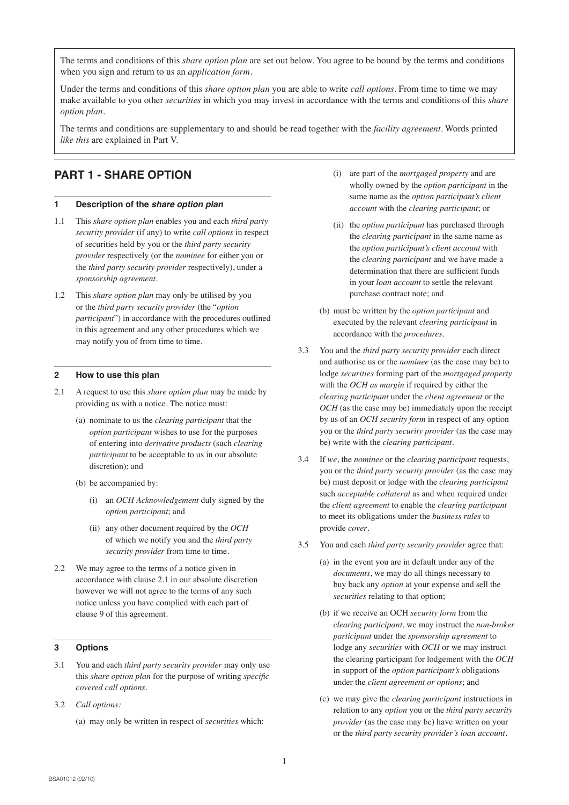The terms and conditions of this *share option plan* are set out below. You agree to be bound by the terms and conditions when you sign and return to us an *application form*.

Under the terms and conditions of this *share option plan* you are able to write *call options*. From time to time we may make available to you other *securities* in which you may invest in accordance with the terms and conditions of this *share option plan*.

The terms and conditions are supplementary to and should be read together with the *facility agreement*. Words printed *like this* are explained in Part V.

# **PART 1 - SHARE OPTION**

# **1 Description of the share option plan**

- 1.1 This *share option plan* enables you and each *third party security provider* (if any) to write *call options* in respect of securities held by you or the *third party security provider* respectively (or the *nominee* for either you or the *third party security provider* respectively), under a *sponsorship agreement*.
- 1.2 This *share option plan* may only be utilised by you or the *third party security provider* (the "*option participant*") in accordance with the procedures outlined in this agreement and any other procedures which we may notify you of from time to time.

#### **2 How to use this plan**

- 2.1 A request to use this *share option plan* may be made by providing us with a notice. The notice must:
	- (a) nominate to us the *clearing participant* that the *option participant* wishes to use for the purposes of entering into *derivative products* (such *clearing participant* to be acceptable to us in our absolute discretion); and
	- (b) be accompanied by:
		- (i) an *OCH Acknowledgement* duly signed by the *option participant*; and
		- (ii) any other document required by the *OCH* of which we notify you and the *third party security provider* from time to time.
- 2.2 We may agree to the terms of a notice given in accordance with clause 2.1 in our absolute discretion however we will not agree to the terms of any such notice unless you have complied with each part of clause 9 of this agreement.

### **3 Options**

- 3.1 You and each *third party security provider* may only use this *share option plan* for the purpose of writing *specific covered call options.*
- 3.2 *Call options:*
	- (a) may only be written in respect of *securities* which:
- (i) are part of the *mortgaged property* and are wholly owned by the *option participant* in the same name as the *option participant's client account* with the *clearing participant*; or
- (ii) the *option participant* has purchased through the *clearing participant* in the same name as the *option participant's client account* with the *clearing participant* and we have made a determination that there are sufficient funds in your *loan account* to settle the relevant purchase contract note; and
- (b) must be written by the *option participant* and executed by the relevant *clearing participant* in accordance with the *procedures*.
- 3.3 You and the *third party security provider* each direct and authorise us or the *nominee* (as the case may be) to lodge *securities* forming part of the *mortgaged property* with the *OCH as margin* if required by either the *clearing participant* under the *client agreement* or the *OCH* (as the case may be) immediately upon the receipt by us of an *OCH security form* in respect of any option you or the *third party security provider* (as the case may be) write with the *clearing participant*.
- 3.4 If *we*, the *nominee* or the *clearing participant* requests, you or the *third party security provider* (as the case may be) must deposit or lodge with the *clearing participant* such *acceptable collateral* as and when required under the *client agreement* to enable the *clearing participant* to meet its obligations under the *business rules* to provide *cover*.
- 3.5 You and each *third party security provider* agree that:
	- (a) in the event you are in default under any of the *documents*, we may do all things necessary to buy back any *option* at your expense and sell the *securities* relating to that option;
	- (b) if we receive an OCH *security form* from the *clearing participant*, we may instruct the *non-broker participant* under the *sponsorship agreement* to lodge any *securities* with *OCH* or we may instruct the clearing participant for lodgement with the *OCH* in support of the *option participant's* obligations under the *client agreement or options*; and
	- (c) we may give the *clearing participant* instructions in relation to any *option* you or the *third party security provider* (as the case may be) have written on your or the *third party security provider's loan account.*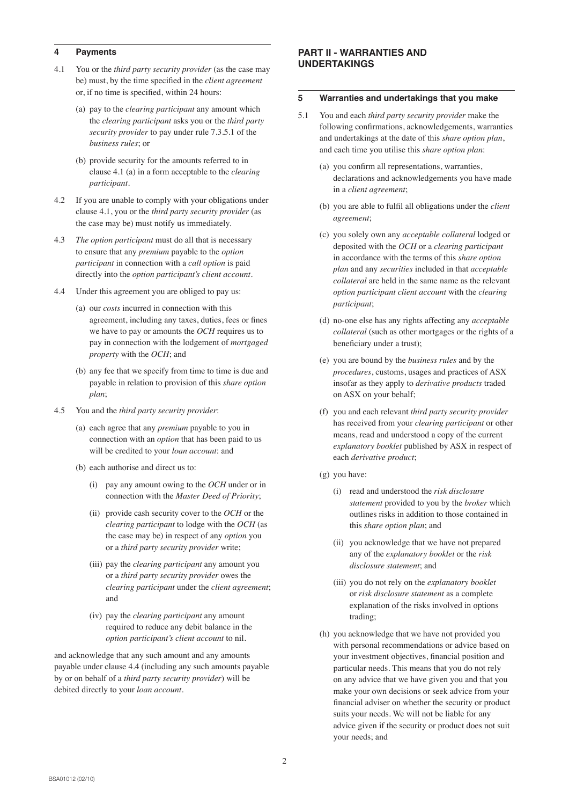### **4 Payments**

- 4.1 You or the *third party security provider* (as the case may be) must, by the time specified in the *client agreement* or, if no time is specified, within 24 hours:
	- (a) pay to the *clearing participant* any amount which the *clearing participant* asks you or the *third party security provider* to pay under rule 7.3.5.1 of the *business rules*; or
	- (b) provide security for the amounts referred to in clause 4.1 (a) in a form acceptable to the *clearing participant*.
- 4.2 If you are unable to comply with your obligations under clause 4.1, you or the *third party security provider* (as the case may be) must notify us immediately.
- 4.3 *The option participant* must do all that is necessary to ensure that any *premium* payable to the *option participant* in connection with a *call option* is paid directly into the *option participant's client account*.
- 4.4 Under this agreement you are obliged to pay us:
	- (a) our *costs* incurred in connection with this agreement, including any taxes, duties, fees or fines we have to pay or amounts the *OCH* requires us to pay in connection with the lodgement of *mortgaged property* with the *OCH*; and
	- (b) any fee that we specify from time to time is due and payable in relation to provision of this *share option plan*;
- 4.5 You and the *third party security provider*:
	- (a) each agree that any *premium* payable to you in connection with an *option* that has been paid to us will be credited to your *loan account*: and
	- (b) each authorise and direct us to:
		- (i) pay any amount owing to the *OCH* under or in connection with the *Master Deed of Priority*;
		- (ii) provide cash security cover to the *OCH* or the *clearing participant* to lodge with the *OCH* (as the case may be) in respect of any *option* you or a *third party security provider* write;
		- (iii) pay the *clearing participant* any amount you or a *third party security provider* owes the *clearing participant* under the *client agreement*; and
		- (iv) pay the *clearing participant* any amount required to reduce any debit balance in the *option participant's client account* to nil.

and acknowledge that any such amount and any amounts payable under clause 4.4 (including any such amounts payable by or on behalf of a *third party security provider*) will be debited directly to your *loan account*.

# **PART II - WARRANTIES AND UNDERTAKINGS**

#### **5 Warranties and undertakings that you make**

- 5.1 You and each *third party security provider* make the following confirmations, acknowledgements, warranties and undertakings at the date of this *share option plan*, and each time you utilise this *share option plan*:
	- (a) you confirm all representations, warranties, declarations and acknowledgements you have made in a *client agreement*;
	- (b) you are able to fulfil all obligations under the *client agreement*;
	- (c) you solely own any *acceptable collateral* lodged or deposited with the *OCH* or a *clearing participant*  in accordance with the terms of this *share option plan* and any *securities* included in that *acceptable collateral* are held in the same name as the relevant *option participant client account* with the *clearing participant*;
	- (d) no-one else has any rights affecting any *acceptable collateral* (such as other mortgages or the rights of a beneficiary under a trust);
	- (e) you are bound by the *business rules* and by the *procedures*, customs, usages and practices of ASX insofar as they apply to *derivative products* traded on ASX on your behalf;
	- (f) you and each relevant *third party security provider* has received from your *clearing participant* or other means, read and understood a copy of the current *explanatory booklet* published by ASX in respect of each *derivative product*;
	- (g) you have:
		- (i) read and understood the *risk disclosure statement* provided to you by the *broker* which outlines risks in addition to those contained in this *share option plan*; and
		- (ii) you acknowledge that we have not prepared any of the *explanatory booklet* or the *risk disclosure statement*; and
		- (iii) you do not rely on the *explanatory booklet* or *risk disclosure statement* as a complete explanation of the risks involved in options trading;
	- (h) you acknowledge that we have not provided you with personal recommendations or advice based on your investment objectives, financial position and particular needs. This means that you do not rely on any advice that we have given you and that you make your own decisions or seek advice from your financial adviser on whether the security or product suits your needs. We will not be liable for any advice given if the security or product does not suit your needs; and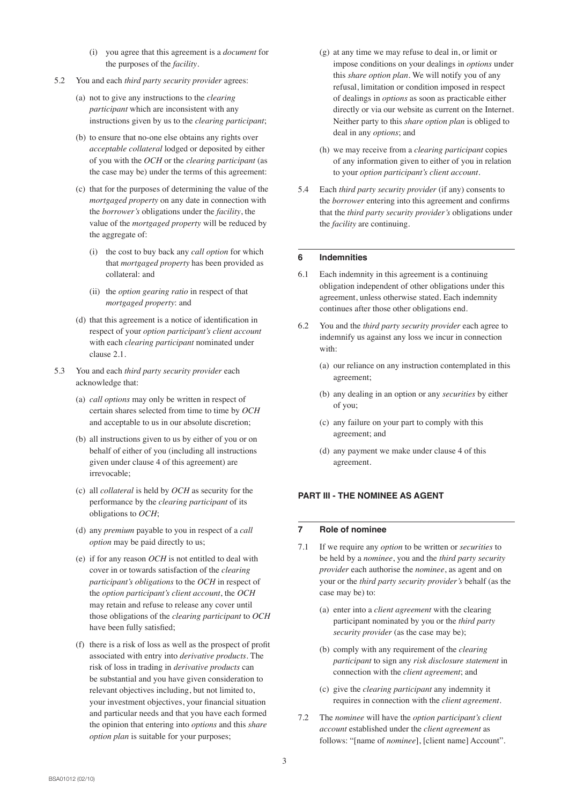- (i) you agree that this agreement is a *document* for the purposes of the *facility*.
- 5.2 You and each *third party security provider* agrees:
	- (a) not to give any instructions to the *clearing participant* which are inconsistent with any instructions given by us to the *clearing participant*;
	- (b) to ensure that no-one else obtains any rights over *acceptable collateral* lodged or deposited by either of you with the *OCH* or the *clearing participant* (as the case may be) under the terms of this agreement:
	- (c) that for the purposes of determining the value of the *mortgaged property* on any date in connection with the *borrower's* obligations under the *facility*, the value of the *mortgaged property* will be reduced by the aggregate of:
		- (i) the cost to buy back any *call option* for which that *mortgaged property* has been provided as collateral: and
		- (ii) the *option gearing ratio* in respect of that *mortgaged property*: and
	- (d) that this agreement is a notice of identification in respect of your *option participant's client account* with each *clearing participant* nominated under clause 2.1.
- 5.3 You and each *third party security provider* each acknowledge that:
	- (a) *call options* may only be written in respect of certain shares selected from time to time by *OCH* and acceptable to us in our absolute discretion;
	- (b) all instructions given to us by either of you or on behalf of either of you (including all instructions given under clause 4 of this agreement) are irrevocable;
	- (c) all *collateral* is held by *OCH* as security for the performance by the *clearing participant* of its obligations to *OCH*;
	- (d) any *premium* payable to you in respect of a *call option* may be paid directly to us;
	- (e) if for any reason *OCH* is not entitled to deal with cover in or towards satisfaction of the *clearing participant's obligations* to the *OCH* in respect of the *option participant's client account*, the *OCH* may retain and refuse to release any cover until those obligations of the *clearing participant* to *OCH* have been fully satisfied;
	- (f) there is a risk of loss as well as the prospect of profit associated with entry into *derivative products*. The risk of loss in trading in *derivative products* can be substantial and you have given consideration to relevant objectives including, but not limited to, your investment objectives, your financial situation and particular needs and that you have each formed the opinion that entering into *options* and this *share option plan* is suitable for your purposes;
- (g) at any time we may refuse to deal in, or limit or impose conditions on your dealings in *options* under this *share option plan*. We will notify you of any refusal, limitation or condition imposed in respect of dealings in *options* as soon as practicable either directly or via our website as current on the Internet. Neither party to this *share option plan* is obliged to deal in any *options*; and
- (h) we may receive from a *clearing participant* copies of any information given to either of you in relation to your *option participant's client account*.
- 5.4 Each *third party security provider* (if any) consents to the *borrower* entering into this agreement and confirms that the *third party security provider's* obligations under the *facility* are continuing.

### **6 Indemnities**

- 6.1 Each indemnity in this agreement is a continuing obligation independent of other obligations under this agreement, unless otherwise stated. Each indemnity continues after those other obligations end.
- 6.2 You and the *third party security provider* each agree to indemnify us against any loss we incur in connection with:
	- (a) our reliance on any instruction contemplated in this agreement;
	- (b) any dealing in an option or any *securities* by either of you;
	- (c) any failure on your part to comply with this agreement; and
	- (d) any payment we make under clause 4 of this agreement.

# **PART III - THE NOMINEE AS AGENT**

# **7 Role of nominee**

- 7.1 If we require any *option* to be written or *securities* to be held by a *nominee*, you and the *third party security provider* each authorise the *nominee*, as agent and on your or the *third party security provider's* behalf (as the case may be) to:
	- (a) enter into a *client agreement* with the clearing participant nominated by you or the *third party security provider* (as the case may be);
	- (b) comply with any requirement of the *clearing participant* to sign any *risk disclosure statement* in connection with the *client agreement*; and
	- (c) give the *clearing participant* any indemnity it requires in connection with the *client agreement*.
- 7.2 The *nominee* will have the *option participant's client account* established under the *client agreement* as follows: "[name of *nominee*], [client name] Account".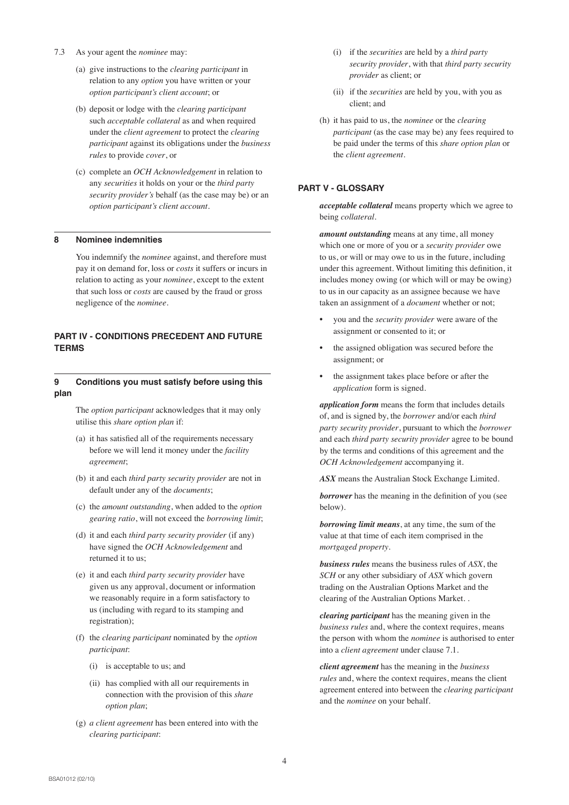- 7.3 As your agent the *nominee* may:
	- (a) give instructions to the *clearing participant* in relation to any *option* you have written or your *option participant's client account*; or
	- (b) deposit or lodge with the *clearing participant* such *acceptable collateral* as and when required under the *client agreement* to protect the *clearing participant* against its obligations under the *business rules* to provide *cover*, or
	- (c) complete an *OCH Acknowledgement* in relation to any *securities* it holds on your or the *third party security provider's* behalf (as the case may be) or an *option participant's client account.*

#### **8 Nominee indemnities**

You indemnify the *nominee* against, and therefore must pay it on demand for, loss or *costs* it suffers or incurs in relation to acting as your *nominee*, except to the extent that such loss or *costs* are caused by the fraud or gross negligence of the *nominee*.

## **PART IV - CONDITIONS PRECEDENT AND FUTURE TERMS**

### **9 Conditions you must satisfy before using this plan**

The *option participant* acknowledges that it may only utilise this *share option plan* if:

- (a) it has satisfied all of the requirements necessary before we will lend it money under the *facility agreement*;
- (b) it and each *third party security provider* are not in default under any of the *documents*;
- (c) the *amount outstanding*, when added to the *option gearing ratio*, will not exceed the *borrowing limit*;
- (d) it and each *third party security provider* (if any) have signed the *OCH Acknowledgement* and returned it to us;
- (e) it and each *third party security provider* have given us any approval, document or information we reasonably require in a form satisfactory to us (including with regard to its stamping and registration);
- (f) the *clearing participant* nominated by the *option participant*:
	- (i) is acceptable to us; and
	- (ii) has complied with all our requirements in connection with the provision of this *share option plan*;
- (g) *a client agreement* has been entered into with the *clearing participant*:
- (i) if the *securities* are held by a *third party security provider*, with that *third party security provider* as client; or
- (ii) if the *securities* are held by you, with you as client; and
- (h) it has paid to us, the *nominee* or the *clearing participant* (as the case may be) any fees required to be paid under the terms of this *share option plan* or the *client agreement*.

### **PART V - GLOSSARY**

*acceptable collateral* means property which we agree to being *collateral*.

*amount outstanding* means at any time, all money which one or more of you or a *security provider* owe to us, or will or may owe to us in the future, including under this agreement. Without limiting this definition, it includes money owing (or which will or may be owing) to us in our capacity as an assignee because we have taken an assignment of a *document* whether or not;

- you and the *security provider* were aware of the assignment or consented to it; or
- the assigned obligation was secured before the assignment; or
- the assignment takes place before or after the *application* form is signed.

*application form* means the form that includes details of, and is signed by, the *borrower* and/or each *third party security provider*, pursuant to which the *borrower* and each *third party security provider* agree to be bound by the terms and conditions of this agreement and the *OCH Acknowledgement* accompanying it.

ASX means the Australian Stock Exchange Limited.

*borrower* has the meaning in the definition of you (see below).

*borrowing limit means*, at any time, the sum of the value at that time of each item comprised in the *mortgaged property*.

*business rules* means the business rules of *ASX*, the *SCH* or any other subsidiary of *ASX* which govern trading on the Australian Options Market and the clearing of the Australian Options Market. .

*clearing participant* has the meaning given in the *business rules* and, where the context requires, means the person with whom the *nominee* is authorised to enter into a *client agreement* under clause 7.1.

*client agreement* has the meaning in the *business rules* and, where the context requires, means the client agreement entered into between the *clearing participant* and the *nominee* on your behalf.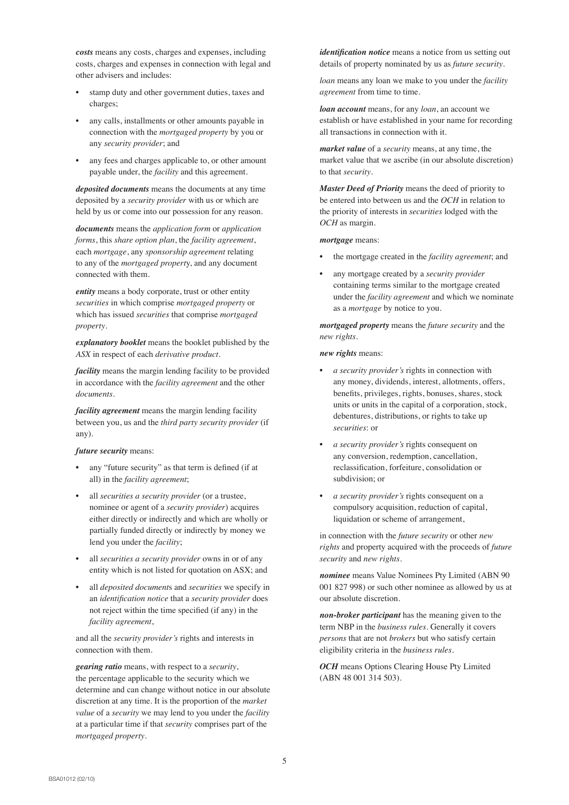*costs* means any costs, charges and expenses, including costs, charges and expenses in connection with legal and other advisers and includes:

- stamp duty and other government duties, taxes and charges;
- any calls, installments or other amounts payable in connection with the *mortgaged property* by you or any *security provider*; and
- any fees and charges applicable to, or other amount payable under, the *facility* and this agreement.

*deposited documents* means the documents at any time deposited by a *security provider* with us or which are held by us or come into our possession for any reason.

*documents* means the *application form* or *application forms*, this *share option plan*, the *facility agreement*, each *mortgage*, any *sponsorship agreement* relating to any of the *mortgaged propert*y, and any document connected with them.

*entity* means a body corporate, trust or other entity *securities* in which comprise *mortgaged property* or which has issued *securities* that comprise *mortgaged property*.

*explanatory booklet* means the booklet published by the *ASX* in respect of each *derivative product*.

*facility* means the margin lending facility to be provided in accordance with the *facility agreement* and the other *documents*.

*facility agreement* means the margin lending facility between you, us and the *third party security provider* (if any).

#### *future security* means:

- any "future security" as that term is defined (if at all) in the *facility agreement*;
- all *securities a security provider* (or a trustee, nominee or agent of a *security provider*) acquires either directly or indirectly and which are wholly or partially funded directly or indirectly by money we lend you under the *facility*;
- all *securities a security provider* owns in or of any entity which is not listed for quotation on ASX; and
- all *deposited document*s and *securities* we specify in an *identification notice* that a *security provider* does not reject within the time specified (if any) in the *facility agreement*,

and all the *security provider's* rights and interests in connection with them.

*gearing ratio* means, with respect to a *security*, the percentage applicable to the security which we determine and can change without notice in our absolute discretion at any time. It is the proportion of the *market value* of a *security* we may lend to you under the *facility* at a particular time if that *security* comprises part of the *mortgaged property*.

*identification notice* means a notice from us setting out details of property nominated by us as *future security*.

*loan* means any loan we make to you under the *facility agreement* from time to time.

*loan account* means, for any *loan*, an account we establish or have established in your name for recording all transactions in connection with it.

*market value* of a *security* means, at any time, the market value that we ascribe (in our absolute discretion) to that *security*.

*Master Deed of Priority* means the deed of priority to be entered into between us and the *OCH* in relation to the priority of interests in *securities* lodged with the *OCH* as margin.

#### *mortgage* means:

- the mortgage created in the *facility agreement*; and
- any mortgage created by a *security provider* containing terms similar to the mortgage created under the *facility agreement* and which we nominate as a *mortgage* by notice to you.

*mortgaged property* means the *future security* and the *new rights*.

#### *new rights* means:

- *a security provider's* rights in connection with any money, dividends, interest, allotments, offers, benefits, privileges, rights, bonuses, shares, stock units or units in the capital of a corporation, stock, debentures, distributions, or rights to take up *securities*: or
- *a security provider's* rights consequent on any conversion, redemption, cancellation, reclassification, forfeiture, consolidation or subdivision; or
- *a security provider's* rights consequent on a compulsory acquisition, reduction of capital, liquidation or scheme of arrangement,

in connection with the *future security* or other *new rights* and property acquired with the proceeds of *future security* and *new rights*.

*nominee* means Value Nominees Pty Limited (ABN 90 001 827 998) or such other nominee as allowed by us at our absolute discretion.

*non-broker participant* has the meaning given to the term NBP in the *business rules*. Generally it covers *persons* that are not *brokers* but who satisfy certain eligibility criteria in the *business rules*.

*OCH* means Options Clearing House Pty Limited (ABN 48 001 314 503).